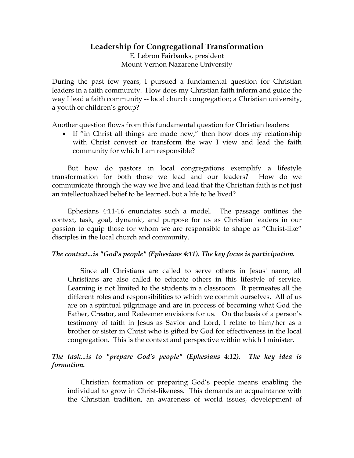# **Leadership for Congregational Transformation**

E. Lebron Fairbanks, president Mount Vernon Nazarene University

During the past few years, I pursued a fundamental question for Christian leaders in a faith community. How does my Christian faith inform and guide the way I lead a faith community -- local church congregation; a Christian university, a youth or children's group?

Another question flows from this fundamental question for Christian leaders:

• If "in Christ all things are made new," then how does my relationship with Christ convert or transform the way I view and lead the faith community for which I am responsible?

But how do pastors in local congregations exemplify a lifestyle transformation for both those we lead and our leaders? How do we communicate through the way we live and lead that the Christian faith is not just an intellectualized belief to be learned, but a life to be lived?

Ephesians 4:11-16 enunciates such a model. The passage outlines the context, task, goal, dynamic, and purpose for us as Christian leaders in our passion to equip those for whom we are responsible to shape as "Christ-like" disciples in the local church and community.

### *The context...is "God's people" (Ephesians 4:11). The key focus is participation.*

Since all Christians are called to serve others in Jesus' name, all Christians are also called to educate others in this lifestyle of service. Learning is not limited to the students in a classroom. It permeates all the different roles and responsibilities to which we commit ourselves. All of us are on a spiritual pilgrimage and are in process of becoming what God the Father, Creator, and Redeemer envisions for us. On the basis of a person's testimony of faith in Jesus as Savior and Lord, I relate to him/her as a brother or sister in Christ who is gifted by God for effectiveness in the local congregation. This is the context and perspective within which I minister.

### *The task...is to "prepare God's people" (Ephesians 4:12). The key idea is formation.*

Christian formation or preparing God's people means enabling the individual to grow in Christ-likeness. This demands an acquaintance with the Christian tradition, an awareness of world issues, development of